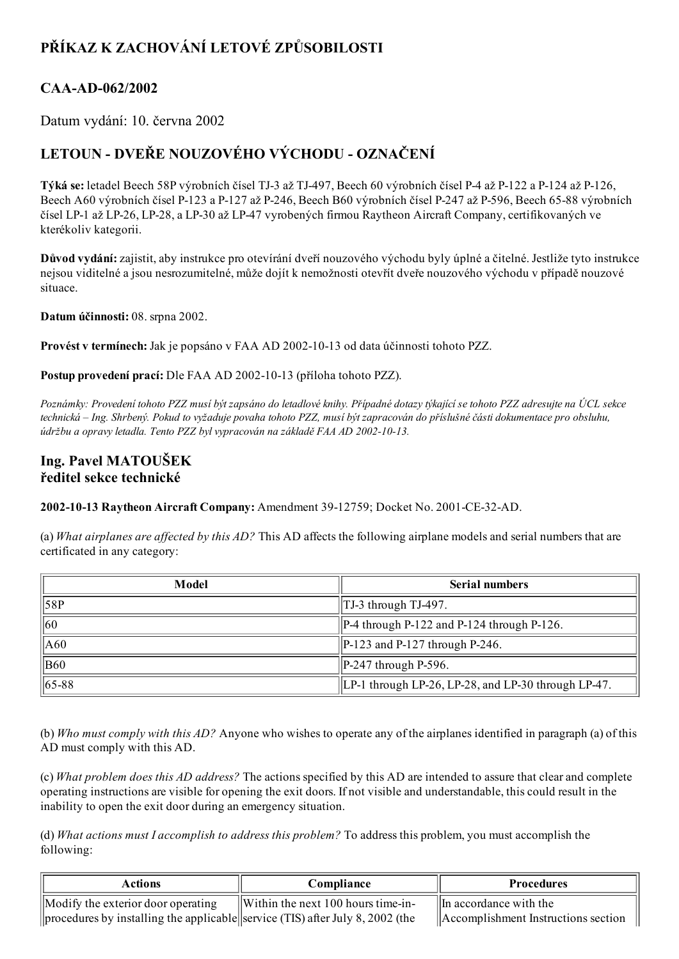## PŘÍKAZ K ZACHOVÁNÍ LETOVÉ ZPŮSOBILOSTI

## CAA-AD-062/2002

Datum vydání: 10. června 2002

## LETOUN DVEŘE NOUZOVÉHO VÝCHODU OZNAČENÍ

Týká se: letadel Beech 58P výrobních čísel TJ-3 až TJ-497, Beech 60 výrobních čísel P-4 až P-122 a P-124 až P-126, Beech A60 výrobních čísel P-123 a P-127 až P-246, Beech B60 výrobních čísel P-247 až P-596, Beech 65-88 výrobních čísel LP1 až LP26, LP28, a LP30 až LP47 vyrobených firmou Raytheon Aircraft Company, certifikovaných ve kterékoliv kategorii.

Důvod vydání: zajistit, aby instrukce pro otevírání dveří nouzového východu byly úplné a čitelné. Jestliže tyto instrukce nejsou viditelné a jsou nesrozumitelné, může dojít k nemožnosti otevřít dveře nouzového východu v případě nouzové situace.

Datum účinnosti: 08. srpna 2002.

Provést v termínech: Jak je popsáno v FAA AD 2002-10-13 od data účinnosti tohoto PZZ.

Postup provedení prací: Dle FAA AD 2002-10-13 (příloha tohoto PZZ).

Poznámky: Provedení tohoto PZZ musí být zapsáno do letadlové knihy. Případné dotazy týkající se tohoto PZZ adresujte na ÚCL sekce technická – Ing. Shrbený. Pokud to vyžaduje povaha tohoto PZZ, musí být zapracován do příslušné části dokumentace pro obsluhu, údržbu a opravy letadla. Tento PZZ byl vypracován na základě FAA AD 2002-10-13.

## Ing. Pavel MATOUŠEK ředitel sekce technické

2002-10-13 Raytheon Aircraft Company: Amendment 39-12759; Docket No. 2001-CE-32-AD.

(a) What airplanes are affected by this  $AD$ ? This AD affects the following airplane models and serial numbers that are certificated in any category:

| Model           | <b>Serial numbers</b>                                  |  |
|-----------------|--------------------------------------------------------|--|
| $\parallel$ 58P | TJ-3 through TJ-497.                                   |  |
| $\vert$ 60      | $\vert$ P-4 through P-122 and P-124 through P-126.     |  |
| A60             | $\left  \frac{P-123}{P-127} \right $ through P-246.    |  |
| <b>B60</b>      | $\left  \frac{P-247}{P-596} \right $                   |  |
| $\  65 - 88$    | $ LP-1$ through LP-26, LP-28, and LP-30 through LP-47. |  |

(b) Who must comply with this AD? Anyone who wishes to operate any of the airplanes identified in paragraph (a) of this AD must comply with this AD.

(c) What problem does this AD address? The actions specified by this AD are intended to assure that clear and complete operating instructions are visible for opening the exit doors. If not visible and understandable, this could result in the inability to open the exit door during an emergency situation.

(d) What actions must I accomplish to address this problem? To address this problem, you must accomplish the following:

| Actions                                                                               | Compliance                                     | <b>Procedures</b>                   |
|---------------------------------------------------------------------------------------|------------------------------------------------|-------------------------------------|
| $\mathbf{M}\odot\mathbf{M}$ the exterior door operating                               | $\parallel$ Within the next 100 hours time-in- | $\ \$ In accordance with the        |
| $\vert$ procedures by installing the applicable service (TIS) after July 8, 2002 (the |                                                | Accomplishment Instructions section |